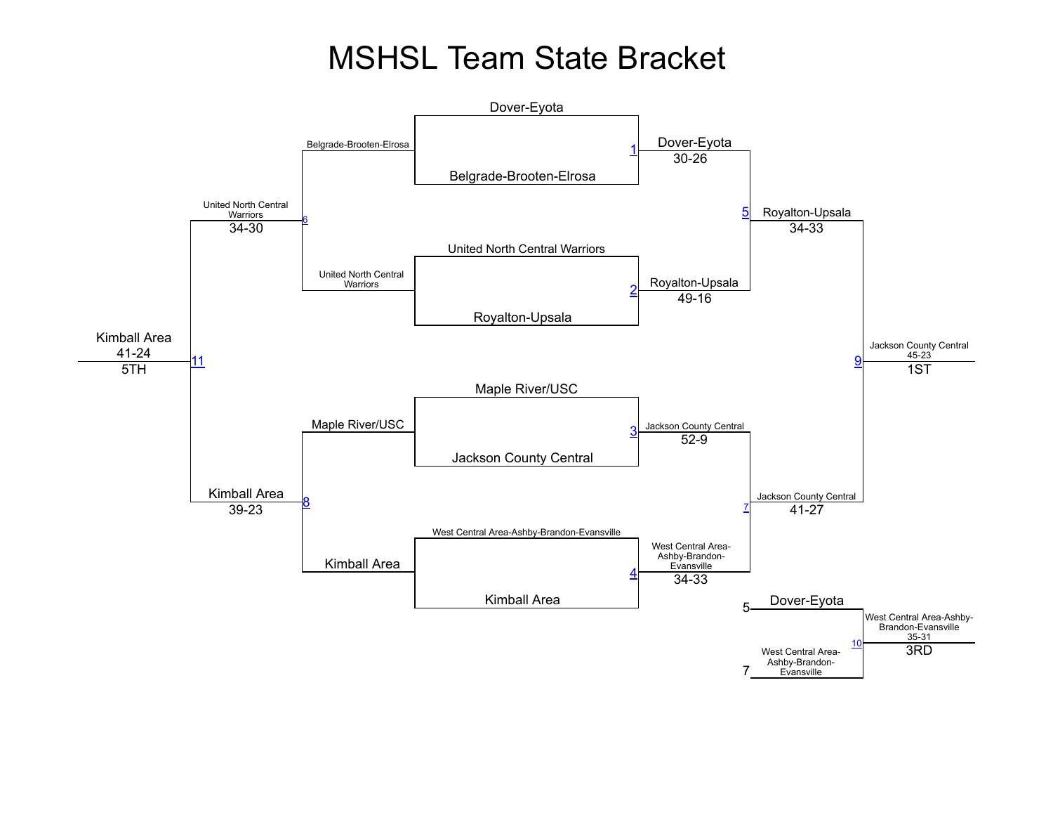## **MSHSL Team State Bracket**

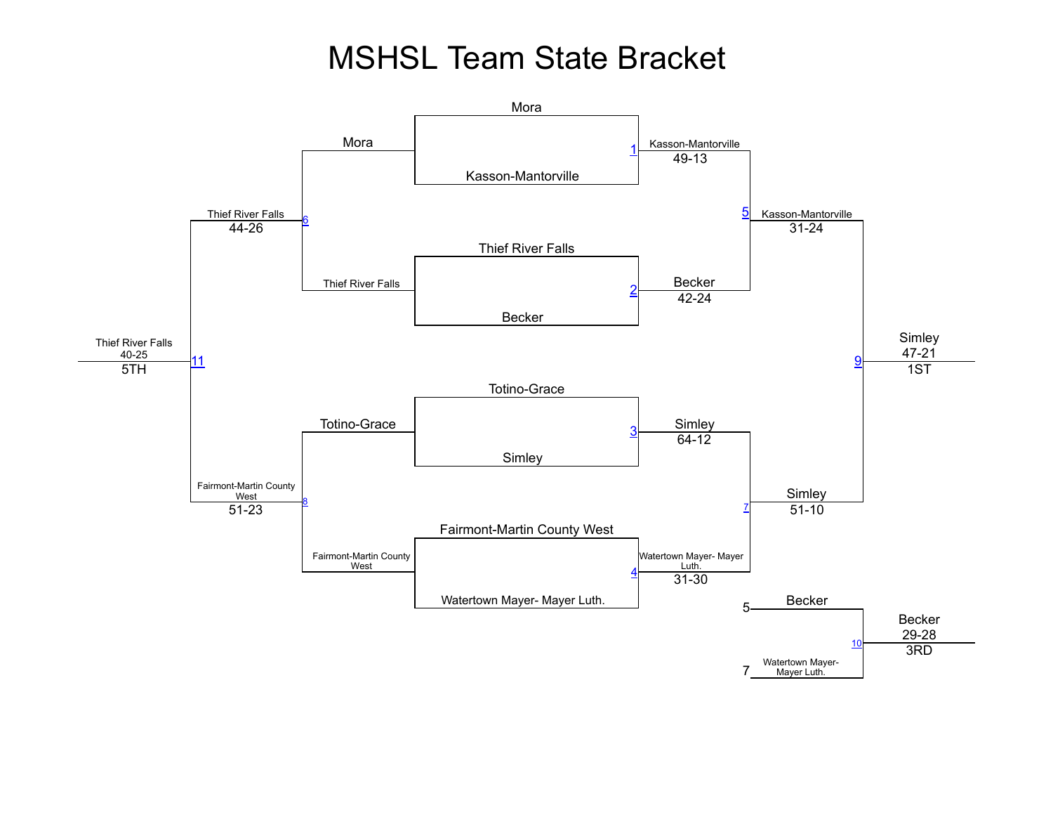## **MSHSL Team State Bracket**